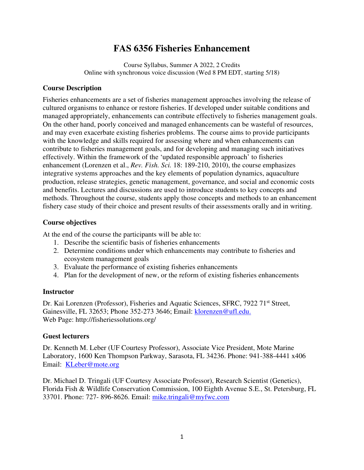# **FAS 6356 Fisheries Enhancement**

Course Syllabus, Summer A 2022, 2 Credits Online with synchronous voice discussion (Wed 8 PM EDT, starting 5/18)

#### **Course Description**

Fisheries enhancements are a set of fisheries management approaches involving the release of cultured organisms to enhance or restore fisheries. If developed under suitable conditions and managed appropriately, enhancements can contribute effectively to fisheries management goals. On the other hand, poorly conceived and managed enhancements can be wasteful of resources, and may even exacerbate existing fisheries problems. The course aims to provide participants with the knowledge and skills required for assessing where and when enhancements can contribute to fisheries management goals, and for developing and managing such initiatives effectively. Within the framework of the 'updated responsible approach' to fisheries enhancement (Lorenzen et al., *Rev. Fish. Sci.* 18: 189-210, 2010), the course emphasizes integrative systems approaches and the key elements of population dynamics, aquaculture production, release strategies, genetic management, governance, and social and economic costs and benefits. Lectures and discussions are used to introduce students to key concepts and methods. Throughout the course, students apply those concepts and methods to an enhancement fishery case study of their choice and present results of their assessments orally and in writing.

#### **Course objectives**

At the end of the course the participants will be able to:

- 1. Describe the scientific basis of fisheries enhancements
- 2. Determine conditions under which enhancements may contribute to fisheries and ecosystem management goals
- 3. Evaluate the performance of existing fisheries enhancements
- 4. Plan for the development of new, or the reform of existing fisheries enhancements

#### **Instructor**

Dr. Kai Lorenzen (Professor), Fisheries and Aquatic Sciences, SFRC, 7922 71<sup>st</sup> Street, Gainesville, FL 32653; Phone 352-273 3646; Email: klorenzen@ufl.edu. Web Page: http://fisheriessolutions.org/

#### **Guest lecturers**

Dr. Kenneth M. Leber (UF Courtesy Professor), Associate Vice President, Mote Marine Laboratory, 1600 Ken Thompson Parkway, Sarasota, FL 34236. Phone: 941-388-4441 x406 Email: KLeber@mote.org

Dr. Michael D. Tringali (UF Courtesy Associate Professor), Research Scientist (Genetics), Florida Fish & Wildlife Conservation Commission, 100 Eighth Avenue S.E., St. Petersburg, FL 33701. Phone: 727- 896-8626. Email: mike.tringali@myfwc.com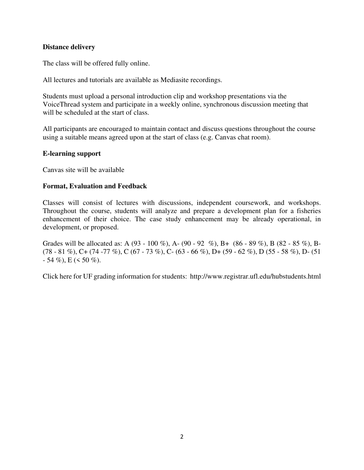#### **Distance delivery**

The class will be offered fully online.

All lectures and tutorials are available as Mediasite recordings.

Students must upload a personal introduction clip and workshop presentations via the VoiceThread system and participate in a weekly online, synchronous discussion meeting that will be scheduled at the start of class.

All participants are encouraged to maintain contact and discuss questions throughout the course using a suitable means agreed upon at the start of class (e.g. Canvas chat room).

#### **E-learning support**

Canvas site will be available

#### **Format, Evaluation and Feedback**

Classes will consist of lectures with discussions, independent coursework, and workshops. Throughout the course, students will analyze and prepare a development plan for a fisheries enhancement of their choice. The case study enhancement may be already operational, in development, or proposed.

Grades will be allocated as: A (93 - 100 %), A- (90 - 92 %), B+ (86 - 89 %), B (82 - 85 %), B- $(78 - 81\%)$ , C+  $(74 - 77\%)$ , C  $(67 - 73\%)$ , C-  $(63 - 66\%)$ , D+  $(59 - 62\%)$ , D $(55 - 58\%)$ , D- $(51 - 52\%)$  $-54\%$ , E (< 50 %).

Click here for UF grading information for students: http://www.registrar.ufl.edu/hubstudents.html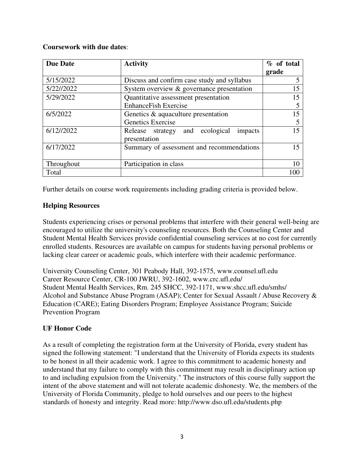#### **Coursework with due dates**:

| <b>Due Date</b> | <b>Activity</b>                                            | % of total<br>grade |
|-----------------|------------------------------------------------------------|---------------------|
| 5/15/2022       | Discuss and confirm case study and syllabus                | 5                   |
| 5/22//2022      | System overview & governance presentation                  | 15                  |
| 5/29/2022       | Quantitative assessment presentation                       | 15                  |
|                 | <b>EnhanceFish Exercise</b>                                |                     |
| 6/5/2022        | Genetics & aquaculture presentation                        | 15                  |
|                 | Genetics Exercise                                          |                     |
| 6/12//2022      | Release strategy and ecological<br>impacts<br>presentation | 15                  |
| 6/17/2022       | Summary of assessment and recommendations                  | 15                  |
| Throughout      | Participation in class                                     |                     |
| Total           |                                                            |                     |

Further details on course work requirements including grading criteria is provided below.

# **Helping Resources**

Students experiencing crises or personal problems that interfere with their general well-being are encouraged to utilize the university's counseling resources. Both the Counseling Center and Student Mental Health Services provide confidential counseling services at no cost for currently enrolled students. Resources are available on campus for students having personal problems or lacking clear career or academic goals, which interfere with their academic performance.

University Counseling Center, 301 Peabody Hall, 392-1575, www.counsel.ufl.edu Career Resource Center, CR-100 JWRU, 392-1602, www.crc.ufl.edu/ Student Mental Health Services, Rm. 245 SHCC, 392-1171, www.shcc.ufl.edu/smhs/ Alcohol and Substance Abuse Program (ASAP); Center for Sexual Assault / Abuse Recovery & Education (CARE); Eating Disorders Program; Employee Assistance Program; Suicide Prevention Program

## **UF Honor Code**

As a result of completing the registration form at the University of Florida, every student has signed the following statement: "I understand that the University of Florida expects its students to be honest in all their academic work. I agree to this commitment to academic honesty and understand that my failure to comply with this commitment may result in disciplinary action up to and including expulsion from the University." The instructors of this course fully support the intent of the above statement and will not tolerate academic dishonesty. We, the members of the University of Florida Community, pledge to hold ourselves and our peers to the highest standards of honesty and integrity. Read more: http://www.dso.ufl.edu/students.php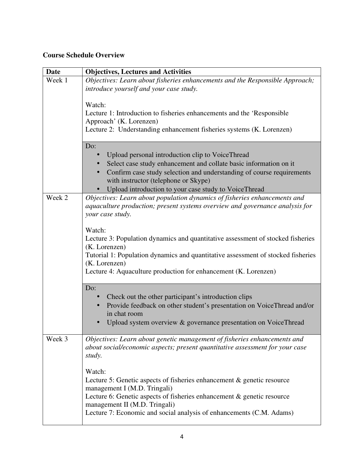# **Course Schedule Overview**

| <b>Date</b> | <b>Objectives, Lectures and Activities</b>                                                                                                                                                                                                                                                             |
|-------------|--------------------------------------------------------------------------------------------------------------------------------------------------------------------------------------------------------------------------------------------------------------------------------------------------------|
| Week 1      | Objectives: Learn about fisheries enhancements and the Responsible Approach;<br>introduce yourself and your case study.                                                                                                                                                                                |
|             | Watch:<br>Lecture 1: Introduction to fisheries enhancements and the 'Responsible'<br>Approach' (K. Lorenzen)<br>Lecture 2: Understanding enhancement fisheries systems (K. Lorenzen)                                                                                                                   |
|             | Do:<br>Upload personal introduction clip to VoiceThread<br>Select case study enhancement and collate basic information on it<br>Confirm case study selection and understanding of course requirements<br>with instructor (telephone or Skype)<br>Upload introduction to your case study to VoiceThread |
| Week 2      | Objectives: Learn about population dynamics of fisheries enhancements and<br>aquaculture production; present systems overview and governance analysis for<br>your case study.                                                                                                                          |
|             | Watch:<br>Lecture 3: Population dynamics and quantitative assessment of stocked fisheries<br>(K. Lorenzen)<br>Tutorial 1: Population dynamics and quantitative assessment of stocked fisheries<br>(K. Lorenzen)<br>Lecture 4: Aquaculture production for enhancement (K. Lorenzen)                     |
|             | Do:<br>Check out the other participant's introduction clips<br>Provide feedback on other student's presentation on VoiceThread and/or<br>in chat room<br>Upload system overview & governance presentation on VoiceThread                                                                               |
| Week 3      | Objectives: Learn about genetic management of fisheries enhancements and<br>about social/economic aspects; present quantitative assessment for your case<br>study.                                                                                                                                     |
|             | Watch:<br>Lecture 5: Genetic aspects of fisheries enhancement & genetic resource<br>management I (M.D. Tringali)<br>Lecture 6: Genetic aspects of fisheries enhancement & genetic resource<br>management II (M.D. Tringali)<br>Lecture 7: Economic and social analysis of enhancements (C.M. Adams)    |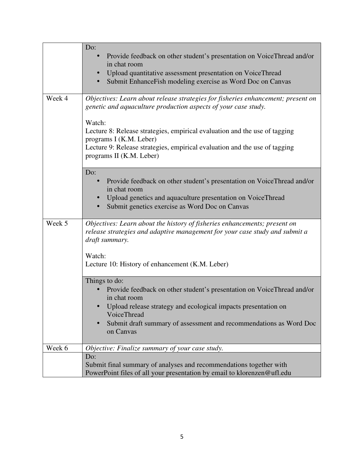|        | Do:<br>Provide feedback on other student's presentation on VoiceThread and/or<br>in chat room<br>Upload quantitative assessment presentation on VoiceThread<br>Submit EnhanceFish modeling exercise as Word Doc on Canvas                                                                                                                                                       |
|--------|---------------------------------------------------------------------------------------------------------------------------------------------------------------------------------------------------------------------------------------------------------------------------------------------------------------------------------------------------------------------------------|
| Week 4 | Objectives: Learn about release strategies for fisheries enhancement; present on<br>genetic and aquaculture production aspects of your case study.<br>Watch:<br>Lecture 8: Release strategies, empirical evaluation and the use of tagging<br>programs I (K.M. Leber)<br>Lecture 9: Release strategies, empirical evaluation and the use of tagging<br>programs II (K.M. Leber) |
|        | Do:<br>Provide feedback on other student's presentation on VoiceThread and/or<br>in chat room<br>Upload genetics and aquaculture presentation on VoiceThread<br>Submit genetics exercise as Word Doc on Canvas                                                                                                                                                                  |
| Week 5 | Objectives: Learn about the history of fisheries enhancements; present on<br>release strategies and adaptive management for your case study and submit a<br>draft summary.<br>Watch:<br>Lecture 10: History of enhancement (K.M. Leber)                                                                                                                                         |
|        | Things to do:<br>Provide feedback on other student's presentation on VoiceThread and/or<br>in chat room<br>Upload release strategy and ecological impacts presentation on<br>VoiceThread<br>Submit draft summary of assessment and recommendations as Word Doc<br>on Canvas                                                                                                     |
| Week 6 | Objective: Finalize summary of your case study.                                                                                                                                                                                                                                                                                                                                 |
|        | Do:<br>Submit final summary of analyses and recommendations together with<br>PowerPoint files of all your presentation by email to klorenzen@ufl.edu                                                                                                                                                                                                                            |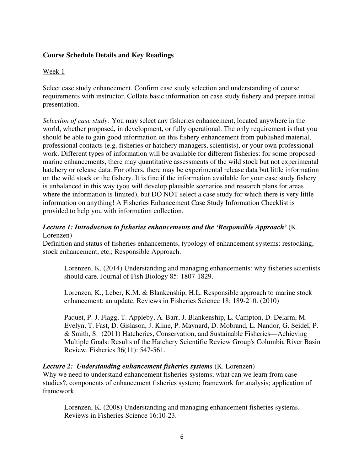#### **Course Schedule Details and Key Readings**

#### Week 1

Select case study enhancement. Confirm case study selection and understanding of course requirements with instructor. Collate basic information on case study fishery and prepare initial presentation.

*Selection of case study:* You may select any fisheries enhancement, located anywhere in the world, whether proposed, in development, or fully operational. The only requirement is that you should be able to gain good information on this fishery enhancement from published material, professional contacts (e.g. fisheries or hatchery managers, scientists), or your own professional work. Different types of information will be available for different fisheries: for some proposed marine enhancements, there may quantitative assessments of the wild stock but not experimental hatchery or release data. For others, there may be experimental release data but little information on the wild stock or the fishery. It is fine if the information available for your case study fishery is unbalanced in this way (you will develop plausible scenarios and research plans for areas where the information is limited), but DO NOT select a case study for which there is very little information on anything! A Fisheries Enhancement Case Study Information Checklist is provided to help you with information collection.

## *Lecture 1: Introduction to fisheries enhancements and the 'Responsible Approach'* (K. Lorenzen)

Definition and status of fisheries enhancements, typology of enhancement systems: restocking, stock enhancement, etc.; Responsible Approach.

Lorenzen, K. (2014) Understanding and managing enhancements: why fisheries scientists should care. Journal of Fish Biology 85: 1807-1829.

Lorenzen, K., Leber, K.M. & Blankenship, H.L. Responsible approach to marine stock enhancement: an update. Reviews in Fisheries Science 18: 189-210. (2010)

Paquet, P. J. Flagg, T. Appleby, A. Barr, J. Blankenship, L. Campton, D. Delarm, M. Evelyn, T. Fast, D. Gislason, J. Kline, P. Maynard, D. Mobrand, L. Nandor, G. Seidel, P. & Smith, S. (2011) Hatcheries, Conservation, and Sustainable Fisheries—Achieving Multiple Goals: Results of the Hatchery Scientific Review Group's Columbia River Basin Review. Fisheries 36(11): 547-561.

#### *Lecture 2: Understanding enhancement fisheries systems* (K. Lorenzen)

Why we need to understand enhancement fisheries systems; what can we learn from case studies?, components of enhancement fisheries system; framework for analysis; application of framework.

Lorenzen, K. (2008) Understanding and managing enhancement fisheries systems. Reviews in Fisheries Science 16:10-23.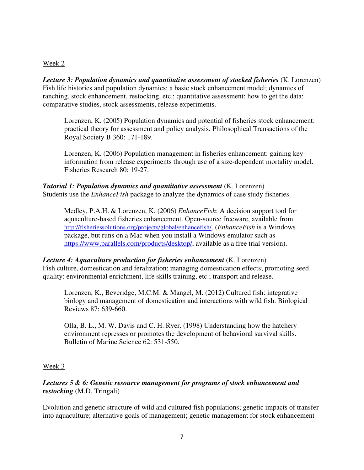#### Week 2

*Lecture 3: Population dynamics and quantitative assessment of stocked fisheries* (K. Lorenzen) Fish life histories and population dynamics; a basic stock enhancement model; dynamics of ranching, stock enhancement, restocking, etc.; quantitative assessment; how to get the data: comparative studies, stock assessments, release experiments.

Lorenzen, K. (2005) Population dynamics and potential of fisheries stock enhancement: practical theory for assessment and policy analysis. Philosophical Transactions of the Royal Society B 360: 171-189.

Lorenzen, K. (2006) Population management in fisheries enhancement: gaining key information from release experiments through use of a size-dependent mortality model. Fisheries Research 80: 19-27.

*Tutorial 1: Population dynamics and quantitative assessment* (K. Lorenzen) Students use the *EnhanceFish* package to analyze the dynamics of case study fisheries.

Medley, P.A.H. & Lorenzen, K. (2006) *EnhanceFish*: A decision support tool for aquaculture-based fisheries enhancement. Open-source freeware, available from http://fisheriessolutions.org/projects/global/enhancefish/. (*EnhanceFish* is a Windows package, but runs on a Mac when you install a Windows emulator such as https://www.parallels.com/products/desktop/, available as a free trial version).

#### *Lecture 4: Aquaculture production for fisheries enhancement* (K. Lorenzen) Fish culture, domestication and feralization; managing domestication effects; promoting seed quality: environmental enrichment, life skills training, etc.; transport and release.

Lorenzen, K., Beveridge, M.C.M. & Mangel, M. (2012) Cultured fish: integrative biology and management of domestication and interactions with wild fish. Biological Reviews 87: 639-660.

Olla, B. L., M. W. Davis and C. H. Ryer. (1998) Understanding how the hatchery environment represses or promotes the development of behavioral survival skills. Bulletin of Marine Science 62: 531-550.

## Week 3

# *Lectures 5 & 6: Genetic resource management for programs of stock enhancement and restocking* (M.D. Tringali)

Evolution and genetic structure of wild and cultured fish populations; genetic impacts of transfer into aquaculture; alternative goals of management; genetic management for stock enhancement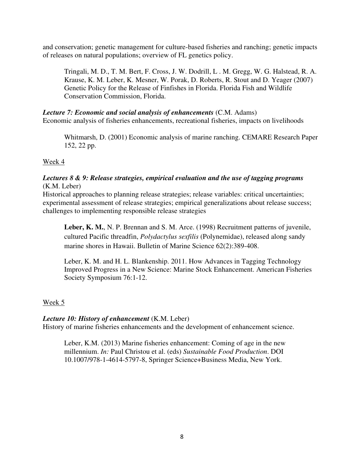and conservation; genetic management for culture-based fisheries and ranching; genetic impacts of releases on natural populations; overview of FL genetics policy.

Tringali, M. D., T. M. Bert, F. Cross, J. W. Dodrill, L . M. Gregg, W. G. Halstead, R. A. Krause, K. M. Leber, K. Mesner, W. Porak, D. Roberts, R. Stout and D. Yeager (2007) Genetic Policy for the Release of Finfishes in Florida. Florida Fish and Wildlife Conservation Commission, Florida.

#### *Lecture 7: Economic and social analysis of enhancements* (C.M. Adams) Economic analysis of fisheries enhancements, recreational fisheries, impacts on livelihoods

Whitmarsh, D. (2001) Economic analysis of marine ranching. CEMARE Research Paper 152, 22 pp.

## Week 4

#### *Lectures 8 & 9: Release strategies, empirical evaluation and the use of tagging programs* (K.M. Leber)

Historical approaches to planning release strategies; release variables: critical uncertainties; experimental assessment of release strategies; empirical generalizations about release success; challenges to implementing responsible release strategies

**Leber, K. M.**, N. P. Brennan and S. M. Arce. (1998) Recruitment patterns of juvenile, cultured Pacific threadfin, *Polydactylus sexfilis* (Polynemidae), released along sandy marine shores in Hawaii. Bulletin of Marine Science 62(2):389-408.

Leber, K. M. and H. L. Blankenship. 2011. How Advances in Tagging Technology Improved Progress in a New Science: Marine Stock Enhancement. American Fisheries Society Symposium 76:1-12.

# Week 5

## *Lecture 10: History of enhancement* (K.M. Leber)

History of marine fisheries enhancements and the development of enhancement science.

Leber, K.M. (2013) Marine fisheries enhancement: Coming of age in the new millennium. *In:* Paul Christou et al. (eds) *Sustainable Food Production*. DOI 10.1007/978-1-4614-5797-8, Springer Science+Business Media, New York.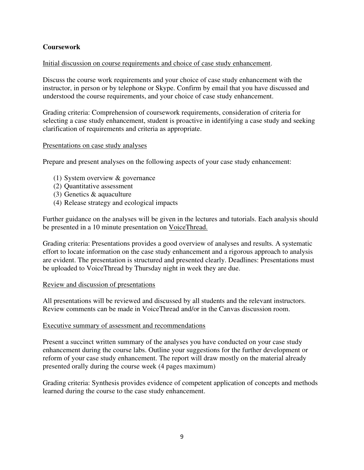## **Coursework**

## Initial discussion on course requirements and choice of case study enhancement.

Discuss the course work requirements and your choice of case study enhancement with the instructor, in person or by telephone or Skype. Confirm by email that you have discussed and understood the course requirements, and your choice of case study enhancement.

Grading criteria: Comprehension of coursework requirements, consideration of criteria for selecting a case study enhancement, student is proactive in identifying a case study and seeking clarification of requirements and criteria as appropriate.

#### Presentations on case study analyses

Prepare and present analyses on the following aspects of your case study enhancement:

- (1) System overview & governance
- (2) Quantitative assessment
- (3) Genetics & aquaculture
- (4) Release strategy and ecological impacts

Further guidance on the analyses will be given in the lectures and tutorials. Each analysis should be presented in a 10 minute presentation on VoiceThread.

Grading criteria: Presentations provides a good overview of analyses and results. A systematic effort to locate information on the case study enhancement and a rigorous approach to analysis are evident. The presentation is structured and presented clearly. Deadlines: Presentations must be uploaded to VoiceThread by Thursday night in week they are due.

#### Review and discussion of presentations

All presentations will be reviewed and discussed by all students and the relevant instructors. Review comments can be made in VoiceThread and/or in the Canvas discussion room.

#### Executive summary of assessment and recommendations

Present a succinct written summary of the analyses you have conducted on your case study enhancement during the course labs. Outline your suggestions for the further development or reform of your case study enhancement. The report will draw mostly on the material already presented orally during the course week (4 pages maximum)

Grading criteria: Synthesis provides evidence of competent application of concepts and methods learned during the course to the case study enhancement.